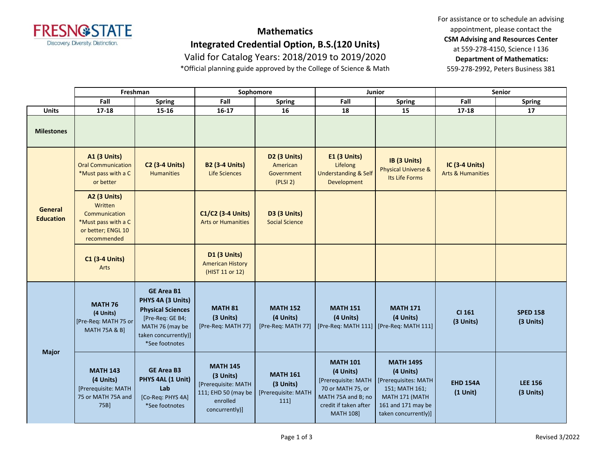

## **Mathematics Integrated Credential Option, B.S.(120 Units)**

Valid for Catalog Years: 2018/2019 to 2019/2020

\*Official planning guide approved by the College of Science & Math

For assistance or to schedule an advising appointment, please contact the **CSM Advising and Resources Center** at 559-278-4150, Science I 136 **Department of Mathematics:** 559-278-2992, Peters Business 381

|                             | Freshman                                                                                                    |                                                                                                                                                     | Sophomore                                                                                                |                                                             | Junior                                                                                                                                      |                                                                                                                                         | <b>Senior</b>                                  |                              |
|-----------------------------|-------------------------------------------------------------------------------------------------------------|-----------------------------------------------------------------------------------------------------------------------------------------------------|----------------------------------------------------------------------------------------------------------|-------------------------------------------------------------|---------------------------------------------------------------------------------------------------------------------------------------------|-----------------------------------------------------------------------------------------------------------------------------------------|------------------------------------------------|------------------------------|
|                             | Fall                                                                                                        | Spring                                                                                                                                              | Fall                                                                                                     | <b>Spring</b>                                               | Fall                                                                                                                                        | <b>Spring</b>                                                                                                                           | Fall                                           | <b>Spring</b>                |
| <b>Units</b>                | $17 - 18$                                                                                                   | 15-16                                                                                                                                               | $16 - 17$                                                                                                | 16                                                          | 18                                                                                                                                          | 15                                                                                                                                      | $17 - 18$                                      | 17                           |
| <b>Milestones</b>           |                                                                                                             |                                                                                                                                                     |                                                                                                          |                                                             |                                                                                                                                             |                                                                                                                                         |                                                |                              |
| General<br><b>Education</b> | <b>A1 (3 Units)</b><br><b>Oral Communication</b><br>*Must pass with a C<br>or better                        | <b>C2 (3-4 Units)</b><br><b>Humanities</b>                                                                                                          | <b>B2 (3-4 Units)</b><br><b>Life Sciences</b>                                                            | <b>D2 (3 Units)</b><br>American<br>Government<br>(PLSI 2)   | <b>E1 (3 Units)</b><br>Lifelong<br><b>Understanding &amp; Self</b><br>Development                                                           | IB (3 Units)<br><b>Physical Universe &amp;</b><br>Its Life Forms                                                                        | IC (3-4 Units)<br><b>Arts &amp; Humanities</b> |                              |
|                             | <b>A2 (3 Units)</b><br>Written<br>Communication<br>*Must pass with a C<br>or better; ENGL 10<br>recommended |                                                                                                                                                     | C1/C2 (3-4 Units)<br><b>Arts or Humanities</b>                                                           | <b>D3 (3 Units)</b><br><b>Social Science</b>                |                                                                                                                                             |                                                                                                                                         |                                                |                              |
|                             | <b>C1 (3-4 Units)</b><br>Arts                                                                               |                                                                                                                                                     | D1 (3 Units)<br><b>American History</b><br>(HIST 11 or 12)                                               |                                                             |                                                                                                                                             |                                                                                                                                         |                                                |                              |
| <b>Major</b>                | <b>MATH 76</b><br>(4 Units)<br>[Pre-Req: MATH 75 or<br><b>MATH 75A &amp; B]</b>                             | <b>GE Area B1</b><br>PHYS 4A (3 Units)<br><b>Physical Sciences</b><br>[Pre-Req: GE B4;<br>MATH 76 (may be<br>taken concurrently)]<br>*See footnotes | <b>MATH 81</b><br>(3 Units)<br>[Pre-Req: MATH 77]                                                        | <b>MATH 152</b><br>(4 Units)<br>[Pre-Req: MATH 77]          | <b>MATH 151</b><br>(4 Units)                                                                                                                | <b>MATH 171</b><br>(4 Units)<br>[Pre-Req: MATH 111]   [Pre-Req: MATH 111]                                                               | CI 161<br>(3 Units)                            | <b>SPED 158</b><br>(3 Units) |
|                             | <b>MATH 143</b><br>(4 Units)<br>[Prerequisite: MATH<br>75 or MATH 75A and<br>75B]                           | <b>GE Area B3</b><br>PHYS 4AL (1 Unit)<br>Lab<br>[Co-Req: PHYS 4A]<br>*See footnotes                                                                | <b>MATH 145</b><br>(3 Units)<br>[Prerequisite: MATH<br>111; EHD 50 (may be<br>enrolled<br>concurrently)] | <b>MATH 161</b><br>(3 Units)<br>[Prerequisite: MATH<br>111] | <b>MATH 101</b><br>(4 Units)<br>[Prerequisite: MATH<br>70 or MATH 75, or<br>MATH 75A and B; no<br>credit if taken after<br><b>MATH 108]</b> | <b>MATH 149S</b><br>(4 Units)<br>[Prerequisites: MATH<br>151; MATH 161;<br>MATH 171 (MATH<br>161 and 171 may be<br>taken concurrently)] | <b>EHD 154A</b><br>$(1$ Unit)                  | <b>LEE 156</b><br>(3 Units)  |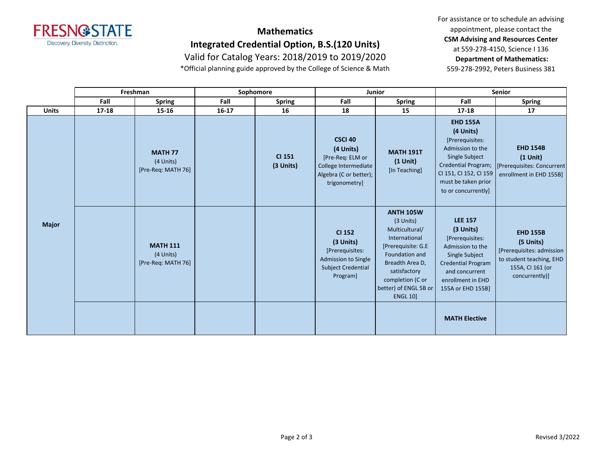

## **Mathematics Integrated Credential Option, B.S.(120 Units)**

Valid for Catalog Years: 2018/2019 to 2019/2020

\*Official planning guide approved by the College of Science & Math

For assistance or to schedule an advising appointment, please contact the **CSM Advising and Resources Center** at 559-278-4150, Science I 136 **Department of Mathematics:** 559-278-2992, Peters Business 381

|              | Freshman  |                                                    | Sophomore |                            | Junior                                                                                                             |                                                                                                                                                                                                             | <b>Senior</b>                                                                                                                                                                               |                                                                                                                             |
|--------------|-----------|----------------------------------------------------|-----------|----------------------------|--------------------------------------------------------------------------------------------------------------------|-------------------------------------------------------------------------------------------------------------------------------------------------------------------------------------------------------------|---------------------------------------------------------------------------------------------------------------------------------------------------------------------------------------------|-----------------------------------------------------------------------------------------------------------------------------|
|              | Fall      | <b>Spring</b>                                      | Fall      | <b>Spring</b>              | Fall                                                                                                               | <b>Spring</b>                                                                                                                                                                                               | Fall                                                                                                                                                                                        | <b>Spring</b>                                                                                                               |
| <b>Units</b> | $17 - 18$ | 15-16                                              | $16 - 17$ | 16                         | 18                                                                                                                 | 15                                                                                                                                                                                                          | $17 - 18$                                                                                                                                                                                   | 17                                                                                                                          |
| <b>Major</b> |           | <b>MATH 77</b><br>(4 Units)<br>[Pre-Req: MATH 76]  |           | <b>CI 151</b><br>(3 Units) | <b>CSCI 40</b><br>(4 Units)<br>[Pre-Req: ELM or<br>College Intermediate<br>Algebra (C or better);<br>trigonometry] | <b>MATH 191T</b><br>$(1$ Unit $)$<br>[In Teaching]                                                                                                                                                          | <b>EHD 155A</b><br>(4 Units)<br>[Prerequisites:<br>Admission to the<br>Single Subject<br><b>Credential Program;</b><br>CI 151, CI 152, CI 159<br>must be taken prior<br>to or concurrently] | <b>EHD 154B</b><br>$(1$ Unit $)$<br>[Prerequisites: Concurrent]<br>enrollment in EHD 155B]                                  |
|              |           | <b>MATH 111</b><br>(4 Units)<br>[Pre-Req: MATH 76] |           |                            | <b>CI 152</b><br>(3 Units)<br>[Prerequisites:<br>Admission to Single<br><b>Subject Credential</b><br>Program]      | <b>ANTH 105W</b><br>(3 Units)<br>Multicultural/<br>International<br>[Prerequisite: G.E<br>Foundation and<br>Breadth Area D,<br>satisfactory<br>completion (C or<br>better) of ENGL 5B or<br><b>ENGL 10]</b> | <b>LEE 157</b><br>(3 Units)<br>[Prerequisites:<br>Admission to the<br>Single Subject<br><b>Credential Program</b><br>and concurrent<br>enrollment in EHD<br>155A or EHD 155B]               | <b>EHD 155B</b><br>(5 Units)<br>[Prerequisites: admission<br>to student teaching, EHD<br>155A, CI 161 (or<br>concurrently)] |
|              |           |                                                    |           |                            |                                                                                                                    |                                                                                                                                                                                                             | <b>MATH Elective</b>                                                                                                                                                                        |                                                                                                                             |